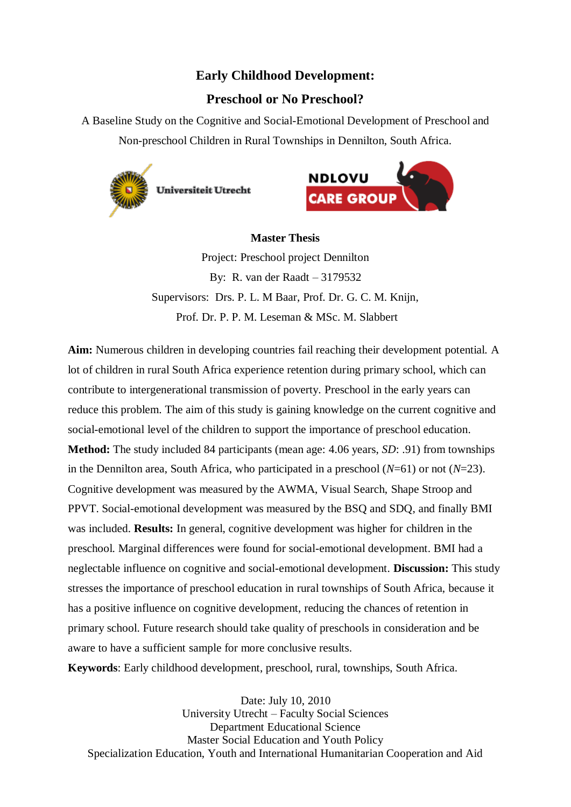# **Early Childhood Development:**

# **Preschool or No Preschool?**

A Baseline Study on the Cognitive and Social-Emotional Development of Preschool and Non-preschool Children in Rural Townships in Dennilton, South Africa.



**Universiteit Utrecht** 



# **Master Thesis**

Project: Preschool project Dennilton By: R. van der Raadt – 3179532 Supervisors: Drs. P. L. M Baar, Prof. Dr. G. C. M. Knijn, Prof. Dr. P. P. M. Leseman & MSc. M. Slabbert

**Aim:** Numerous children in developing countries fail reaching their development potential. A lot of children in rural South Africa experience retention during primary school, which can contribute to intergenerational transmission of poverty. Preschool in the early years can reduce this problem. The aim of this study is gaining knowledge on the current cognitive and social-emotional level of the children to support the importance of preschool education. **Method:** The study included 84 participants (mean age: 4.06 years, *SD*: .91) from townships in the Dennilton area, South Africa, who participated in a preschool (*N*=61) or not (*N*=23). Cognitive development was measured by the AWMA, Visual Search, Shape Stroop and PPVT. Social-emotional development was measured by the BSQ and SDQ, and finally BMI was included. **Results:** In general, cognitive development was higher for children in the preschool. Marginal differences were found for social-emotional development. BMI had a neglectable influence on cognitive and social-emotional development. **Discussion:** This study stresses the importance of preschool education in rural townships of South Africa, because it has a positive influence on cognitive development, reducing the chances of retention in primary school. Future research should take quality of preschools in consideration and be aware to have a sufficient sample for more conclusive results.

**Keywords**: Early childhood development, preschool, rural, townships, South Africa.

Date: July 10, 2010 University Utrecht – Faculty Social Sciences Department Educational Science Master Social Education and Youth Policy Specialization Education, Youth and International Humanitarian Cooperation and Aid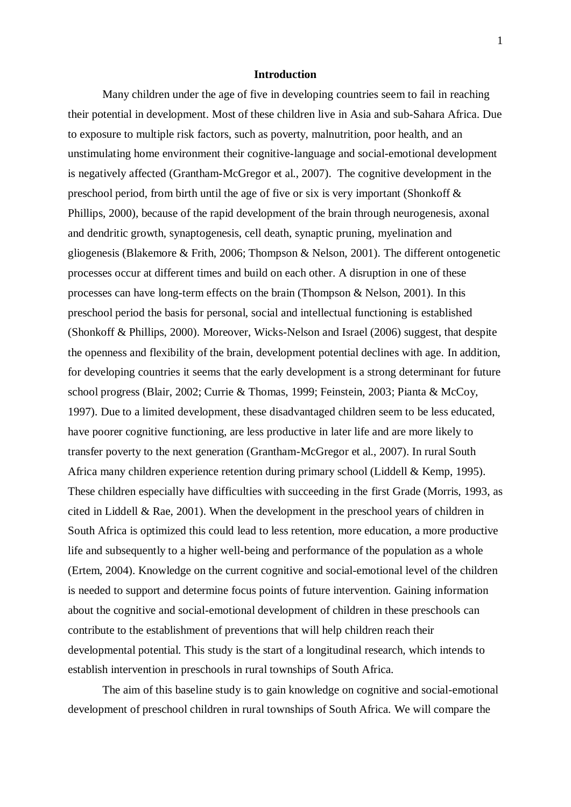#### **Introduction**

Many children under the age of five in developing countries seem to fail in reaching their potential in development. Most of these children live in Asia and sub-Sahara Africa. Due to exposure to multiple risk factors, such as poverty, malnutrition, poor health, and an unstimulating home environment their cognitive-language and social-emotional development is negatively affected (Grantham-McGregor et al., 2007). The cognitive development in the preschool period, from birth until the age of five or six is very important (Shonkoff & Phillips, 2000), because of the rapid development of the brain through neurogenesis, axonal and dendritic growth, synaptogenesis, cell death, synaptic pruning, myelination and gliogenesis (Blakemore & Frith, 2006; Thompson & Nelson, 2001). The different ontogenetic processes occur at different times and build on each other. A disruption in one of these processes can have long-term effects on the brain (Thompson & Nelson, 2001). In this preschool period the basis for personal, social and intellectual functioning is established (Shonkoff & Phillips, 2000). Moreover, Wicks-Nelson and Israel (2006) suggest, that despite the openness and flexibility of the brain, development potential declines with age. In addition, for developing countries it seems that the early development is a strong determinant for future school progress (Blair, 2002; Currie & Thomas, 1999; Feinstein, 2003; Pianta & McCoy, 1997). Due to a limited development, these disadvantaged children seem to be less educated, have poorer cognitive functioning, are less productive in later life and are more likely to transfer poverty to the next generation (Grantham-McGregor et al., 2007). In rural South Africa many children experience retention during primary school (Liddell & Kemp, 1995). These children especially have difficulties with succeeding in the first Grade (Morris, 1993, as cited in Liddell & Rae, 2001). When the development in the preschool years of children in South Africa is optimized this could lead to less retention, more education, a more productive life and subsequently to a higher well-being and performance of the population as a whole (Ertem, 2004). Knowledge on the current cognitive and social-emotional level of the children is needed to support and determine focus points of future intervention. Gaining information about the cognitive and social-emotional development of children in these preschools can contribute to the establishment of preventions that will help children reach their developmental potential. This study is the start of a longitudinal research, which intends to establish intervention in preschools in rural townships of South Africa.

The aim of this baseline study is to gain knowledge on cognitive and social-emotional development of preschool children in rural townships of South Africa. We will compare the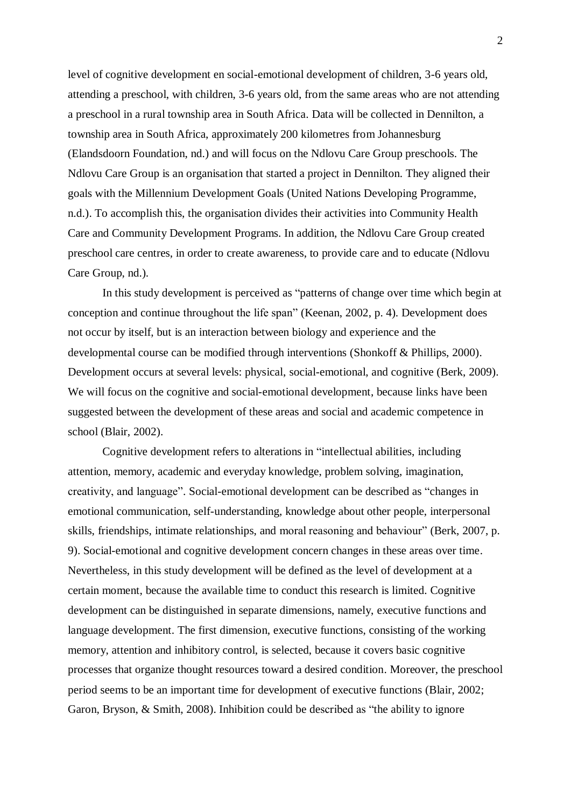level of cognitive development en social-emotional development of children, 3-6 years old, attending a preschool, with children, 3-6 years old, from the same areas who are not attending a preschool in a rural township area in South Africa. Data will be collected in Dennilton, a township area in South Africa, approximately 200 kilometres from Johannesburg (Elandsdoorn Foundation, nd.) and will focus on the Ndlovu Care Group preschools. The Ndlovu Care Group is an organisation that started a project in Dennilton. They aligned their goals with the Millennium Development Goals (United Nations Developing Programme, n.d.). To accomplish this, the organisation divides their activities into Community Health Care and Community Development Programs. In addition, the Ndlovu Care Group created preschool care centres, in order to create awareness, to provide care and to educate (Ndlovu Care Group, nd.).

In this study development is perceived as "patterns of change over time which begin at conception and continue throughout the life span" (Keenan, 2002, p. 4). Development does not occur by itself, but is an interaction between biology and experience and the developmental course can be modified through interventions (Shonkoff & Phillips, 2000). Development occurs at several levels: physical, social-emotional, and cognitive (Berk, 2009). We will focus on the cognitive and social-emotional development, because links have been suggested between the development of these areas and social and academic competence in school (Blair, 2002).

Cognitive development refers to alterations in "intellectual abilities, including attention, memory, academic and everyday knowledge, problem solving, imagination, creativity, and language". Social-emotional development can be described as "changes in emotional communication, self-understanding, knowledge about other people, interpersonal skills, friendships, intimate relationships, and moral reasoning and behaviour" (Berk, 2007, p. 9). Social-emotional and cognitive development concern changes in these areas over time. Nevertheless, in this study development will be defined as the level of development at a certain moment, because the available time to conduct this research is limited. Cognitive development can be distinguished in separate dimensions, namely, executive functions and language development. The first dimension, executive functions, consisting of the working memory, attention and inhibitory control, is selected, because it covers basic cognitive processes that organize thought resources toward a desired condition. Moreover, the preschool period seems to be an important time for development of executive functions (Blair, 2002; Garon, Bryson, & Smith, 2008). Inhibition could be described as "the ability to ignore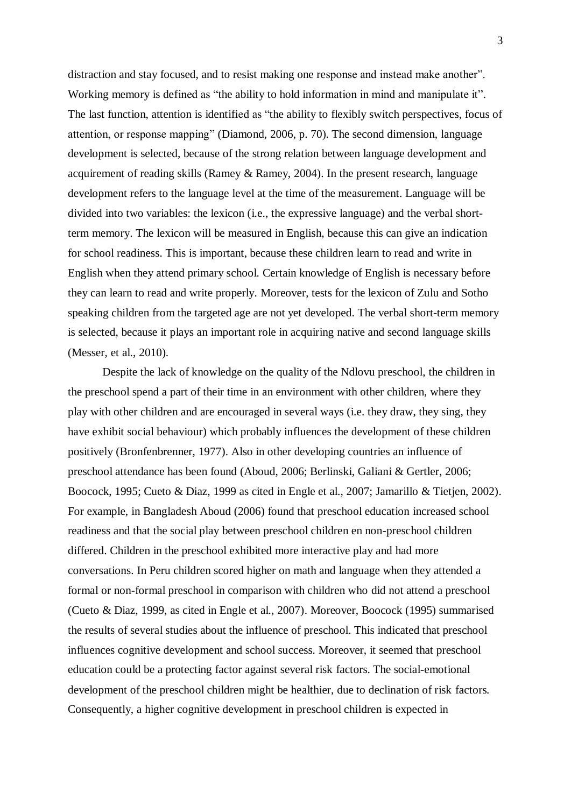distraction and stay focused, and to resist making one response and instead make another". Working memory is defined as "the ability to hold information in mind and manipulate it". The last function, attention is identified as "the ability to flexibly switch perspectives, focus of attention, or response mapping" (Diamond, 2006, p. 70). The second dimension, language development is selected, because of the strong relation between language development and acquirement of reading skills (Ramey & Ramey, 2004). In the present research, language development refers to the language level at the time of the measurement. Language will be divided into two variables: the lexicon (i.e., the expressive language) and the verbal shortterm memory. The lexicon will be measured in English, because this can give an indication for school readiness. This is important, because these children learn to read and write in English when they attend primary school. Certain knowledge of English is necessary before they can learn to read and write properly. Moreover, tests for the lexicon of Zulu and Sotho speaking children from the targeted age are not yet developed. The verbal short-term memory is selected, because it plays an important role in acquiring native and second language skills (Messer, et al., 2010).

Despite the lack of knowledge on the quality of the Ndlovu preschool, the children in the preschool spend a part of their time in an environment with other children, where they play with other children and are encouraged in several ways (i.e. they draw, they sing, they have exhibit social behaviour) which probably influences the development of these children positively (Bronfenbrenner, 1977). Also in other developing countries an influence of preschool attendance has been found (Aboud, 2006; Berlinski, Galiani & Gertler, 2006; Boocock, 1995; Cueto & Diaz, 1999 as cited in Engle et al., 2007; Jamarillo & Tietjen, 2002). For example, in Bangladesh Aboud (2006) found that preschool education increased school readiness and that the social play between preschool children en non-preschool children differed. Children in the preschool exhibited more interactive play and had more conversations. In Peru children scored higher on math and language when they attended a formal or non-formal preschool in comparison with children who did not attend a preschool (Cueto & Diaz, 1999, as cited in Engle et al., 2007). Moreover, Boocock (1995) summarised the results of several studies about the influence of preschool. This indicated that preschool influences cognitive development and school success. Moreover, it seemed that preschool education could be a protecting factor against several risk factors. The social-emotional development of the preschool children might be healthier, due to declination of risk factors. Consequently, a higher cognitive development in preschool children is expected in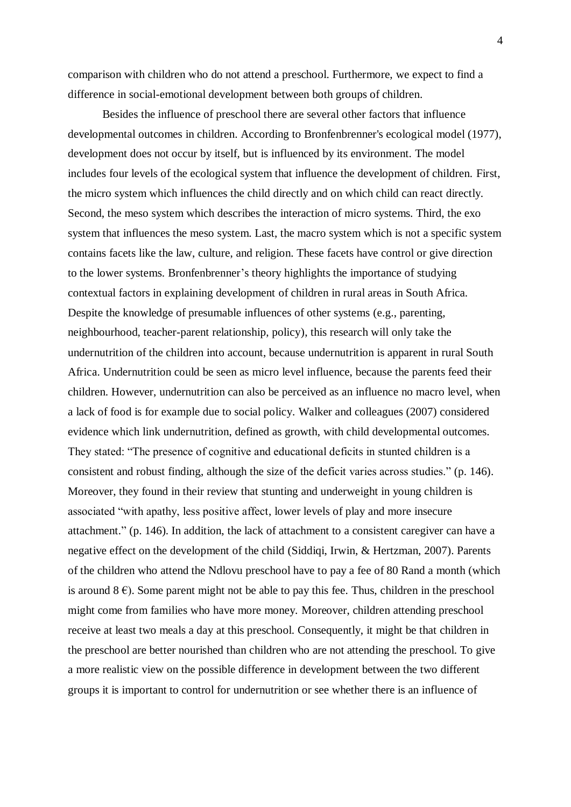comparison with children who do not attend a preschool. Furthermore, we expect to find a difference in social-emotional development between both groups of children.

Besides the influence of preschool there are several other factors that influence developmental outcomes in children. According to Bronfenbrenner's ecological model (1977), development does not occur by itself, but is influenced by its environment. The model includes four levels of the ecological system that influence the development of children. First, the micro system which influences the child directly and on which child can react directly. Second, the meso system which describes the interaction of micro systems. Third, the exo system that influences the meso system. Last, the macro system which is not a specific system contains facets like the law, culture, and religion. These facets have control or give direction to the lower systems. Bronfenbrenner's theory highlights the importance of studying contextual factors in explaining development of children in rural areas in South Africa. Despite the knowledge of presumable influences of other systems (e.g., parenting, neighbourhood, teacher-parent relationship, policy), this research will only take the undernutrition of the children into account, because undernutrition is apparent in rural South Africa. Undernutrition could be seen as micro level influence, because the parents feed their children. However, undernutrition can also be perceived as an influence no macro level, when a lack of food is for example due to social policy. Walker and colleagues (2007) considered evidence which link undernutrition, defined as growth, with child developmental outcomes. They stated: "The presence of cognitive and educational deficits in stunted children is a consistent and robust finding, although the size of the deficit varies across studies." (p. 146). Moreover, they found in their review that stunting and underweight in young children is associated "with apathy, less positive affect, lower levels of play and more insecure attachment." (p. 146). In addition, the lack of attachment to a consistent caregiver can have a negative effect on the development of the child (Siddiqi, Irwin, & Hertzman, 2007). Parents of the children who attend the Ndlovu preschool have to pay a fee of 80 Rand a month (which is around  $8 \epsilon$ ). Some parent might not be able to pay this fee. Thus, children in the preschool might come from families who have more money. Moreover, children attending preschool receive at least two meals a day at this preschool. Consequently, it might be that children in the preschool are better nourished than children who are not attending the preschool. To give a more realistic view on the possible difference in development between the two different groups it is important to control for undernutrition or see whether there is an influence of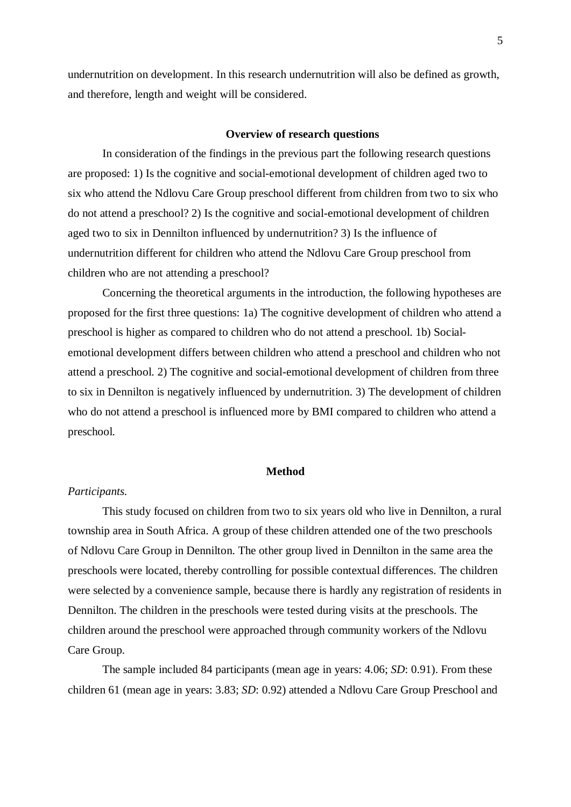undernutrition on development. In this research undernutrition will also be defined as growth, and therefore, length and weight will be considered.

#### **Overview of research questions**

In consideration of the findings in the previous part the following research questions are proposed: 1) Is the cognitive and social-emotional development of children aged two to six who attend the Ndlovu Care Group preschool different from children from two to six who do not attend a preschool? 2) Is the cognitive and social-emotional development of children aged two to six in Dennilton influenced by undernutrition? 3) Is the influence of undernutrition different for children who attend the Ndlovu Care Group preschool from children who are not attending a preschool?

Concerning the theoretical arguments in the introduction, the following hypotheses are proposed for the first three questions: 1a) The cognitive development of children who attend a preschool is higher as compared to children who do not attend a preschool. 1b) Socialemotional development differs between children who attend a preschool and children who not attend a preschool. 2) The cognitive and social-emotional development of children from three to six in Dennilton is negatively influenced by undernutrition. 3) The development of children who do not attend a preschool is influenced more by BMI compared to children who attend a preschool.

#### **Method**

#### *Participants.*

This study focused on children from two to six years old who live in Dennilton, a rural township area in South Africa. A group of these children attended one of the two preschools of Ndlovu Care Group in Dennilton. The other group lived in Dennilton in the same area the preschools were located, thereby controlling for possible contextual differences. The children were selected by a convenience sample, because there is hardly any registration of residents in Dennilton. The children in the preschools were tested during visits at the preschools. The children around the preschool were approached through community workers of the Ndlovu Care Group.

The sample included 84 participants (mean age in years: 4.06; *SD*: 0.91). From these children 61 (mean age in years: 3.83; *SD*: 0.92) attended a Ndlovu Care Group Preschool and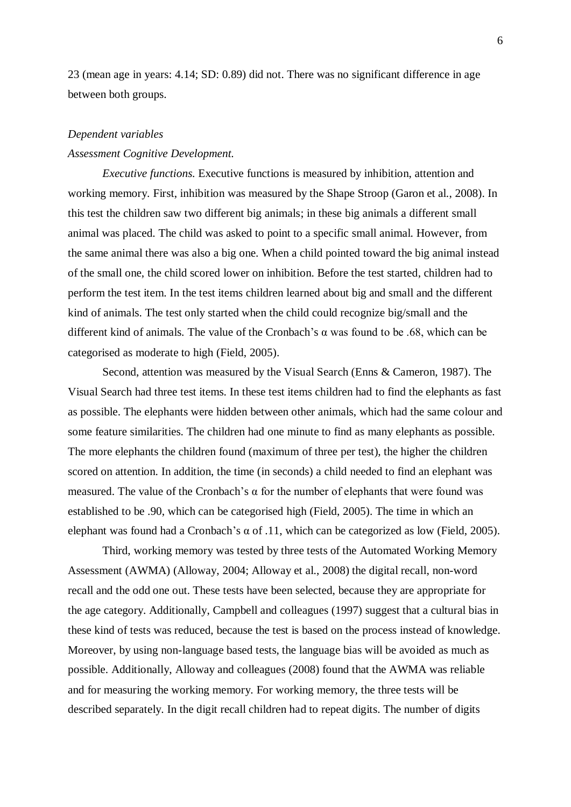23 (mean age in years: 4.14; SD: 0.89) did not. There was no significant difference in age between both groups.

#### *Dependent variables*

#### *Assessment Cognitive Development.*

*Executive functions.* Executive functions is measured by inhibition, attention and working memory. First, inhibition was measured by the Shape Stroop (Garon et al., 2008). In this test the children saw two different big animals; in these big animals a different small animal was placed. The child was asked to point to a specific small animal. However, from the same animal there was also a big one. When a child pointed toward the big animal instead of the small one, the child scored lower on inhibition. Before the test started, children had to perform the test item. In the test items children learned about big and small and the different kind of animals. The test only started when the child could recognize big/small and the different kind of animals. The value of the Cronbach's  $\alpha$  was found to be .68, which can be categorised as moderate to high (Field, 2005).

Second, attention was measured by the Visual Search (Enns & Cameron, 1987). The Visual Search had three test items. In these test items children had to find the elephants as fast as possible. The elephants were hidden between other animals, which had the same colour and some feature similarities. The children had one minute to find as many elephants as possible. The more elephants the children found (maximum of three per test), the higher the children scored on attention. In addition, the time (in seconds) a child needed to find an elephant was measured. The value of the Cronbach's  $\alpha$  for the number of elephants that were found was established to be .90, which can be categorised high (Field, 2005). The time in which an elephant was found had a Cronbach's α of .11, which can be categorized as low (Field, 2005).

Third, working memory was tested by three tests of the Automated Working Memory Assessment (AWMA) (Alloway, 2004; Alloway et al., 2008) the digital recall, non-word recall and the odd one out. These tests have been selected, because they are appropriate for the age category. Additionally, Campbell and colleagues (1997) suggest that a cultural bias in these kind of tests was reduced, because the test is based on the process instead of knowledge. Moreover, by using non-language based tests, the language bias will be avoided as much as possible. Additionally, Alloway and colleagues (2008) found that the AWMA was reliable and for measuring the working memory. For working memory, the three tests will be described separately. In the digit recall children had to repeat digits. The number of digits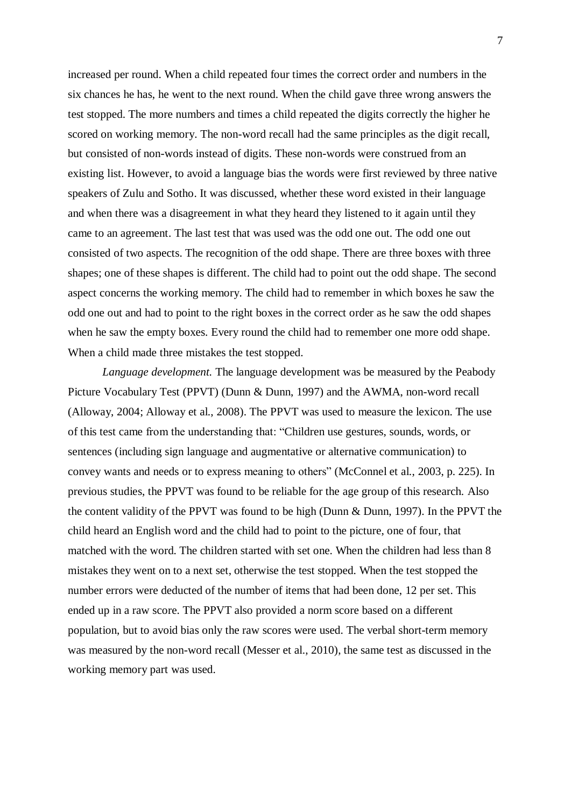increased per round. When a child repeated four times the correct order and numbers in the six chances he has, he went to the next round. When the child gave three wrong answers the test stopped. The more numbers and times a child repeated the digits correctly the higher he scored on working memory. The non-word recall had the same principles as the digit recall, but consisted of non-words instead of digits. These non-words were construed from an existing list. However, to avoid a language bias the words were first reviewed by three native speakers of Zulu and Sotho. It was discussed, whether these word existed in their language and when there was a disagreement in what they heard they listened to it again until they came to an agreement. The last test that was used was the odd one out. The odd one out consisted of two aspects. The recognition of the odd shape. There are three boxes with three shapes; one of these shapes is different. The child had to point out the odd shape. The second aspect concerns the working memory. The child had to remember in which boxes he saw the odd one out and had to point to the right boxes in the correct order as he saw the odd shapes when he saw the empty boxes. Every round the child had to remember one more odd shape. When a child made three mistakes the test stopped.

*Language development.* The language development was be measured by the Peabody Picture Vocabulary Test (PPVT) (Dunn & Dunn, 1997) and the AWMA, non-word recall (Alloway, 2004; Alloway et al., 2008). The PPVT was used to measure the lexicon. The use of this test came from the understanding that: "Children use gestures, sounds, words, or sentences (including sign language and augmentative or alternative communication) to convey wants and needs or to express meaning to others" (McConnel et al., 2003, p. 225). In previous studies, the PPVT was found to be reliable for the age group of this research. Also the content validity of the PPVT was found to be high (Dunn & Dunn, 1997). In the PPVT the child heard an English word and the child had to point to the picture, one of four, that matched with the word. The children started with set one. When the children had less than 8 mistakes they went on to a next set, otherwise the test stopped. When the test stopped the number errors were deducted of the number of items that had been done, 12 per set. This ended up in a raw score. The PPVT also provided a norm score based on a different population, but to avoid bias only the raw scores were used. The verbal short-term memory was measured by the non-word recall (Messer et al., 2010), the same test as discussed in the working memory part was used.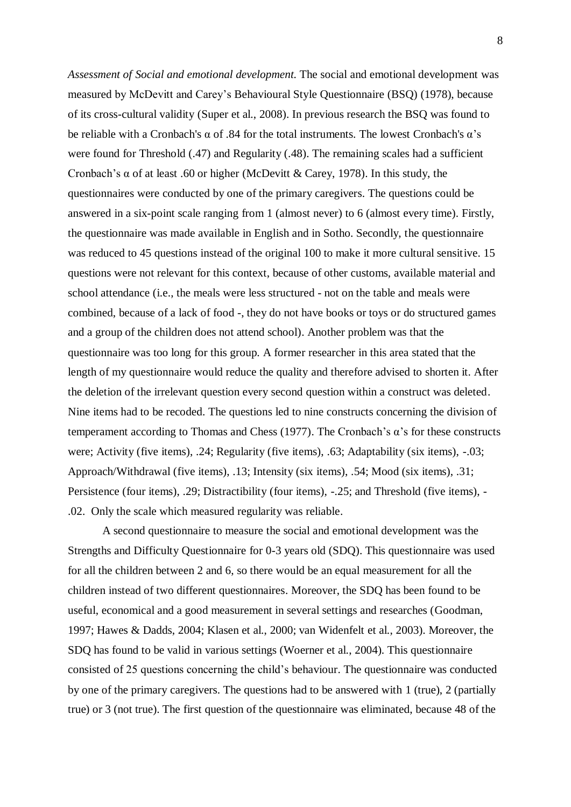*Assessment of Social and emotional development.* The social and emotional development was measured by McDevitt and Carey's Behavioural Style Questionnaire (BSQ) (1978), because of its cross-cultural validity (Super et al., 2008). In previous research the BSQ was found to be reliable with a Cronbach's  $\alpha$  of .84 for the total instruments. The lowest Cronbach's  $\alpha$ 's were found for Threshold (.47) and Regularity (.48). The remaining scales had a sufficient Cronbach's α of at least .60 or higher (McDevitt & Carey, 1978). In this study, the questionnaires were conducted by one of the primary caregivers. The questions could be answered in a six-point scale ranging from 1 (almost never) to 6 (almost every time). Firstly, the questionnaire was made available in English and in Sotho. Secondly, the questionnaire was reduced to 45 questions instead of the original 100 to make it more cultural sensitive. 15 questions were not relevant for this context, because of other customs, available material and school attendance (i.e., the meals were less structured - not on the table and meals were combined, because of a lack of food -, they do not have books or toys or do structured games and a group of the children does not attend school). Another problem was that the questionnaire was too long for this group. A former researcher in this area stated that the length of my questionnaire would reduce the quality and therefore advised to shorten it. After the deletion of the irrelevant question every second question within a construct was deleted. Nine items had to be recoded. The questions led to nine constructs concerning the division of temperament according to Thomas and Chess (1977). The Cronbach's α's for these constructs were; Activity (five items), .24; Regularity (five items), .63; Adaptability (six items), -.03; Approach/Withdrawal (five items), .13; Intensity (six items), .54; Mood (six items), .31; Persistence (four items), .29; Distractibility (four items), -.25; and Threshold (five items), - .02. Only the scale which measured regularity was reliable.

A second questionnaire to measure the social and emotional development was the Strengths and Difficulty Questionnaire for 0-3 years old (SDQ). This questionnaire was used for all the children between 2 and 6, so there would be an equal measurement for all the children instead of two different questionnaires. Moreover, the SDQ has been found to be useful, economical and a good measurement in several settings and researches (Goodman, 1997; Hawes & Dadds, 2004; Klasen et al., 2000; van Widenfelt et al., 2003). Moreover, the SDQ has found to be valid in various settings (Woerner et al., 2004). This questionnaire consisted of 25 questions concerning the child's behaviour. The questionnaire was conducted by one of the primary caregivers. The questions had to be answered with 1 (true), 2 (partially true) or 3 (not true). The first question of the questionnaire was eliminated, because 48 of the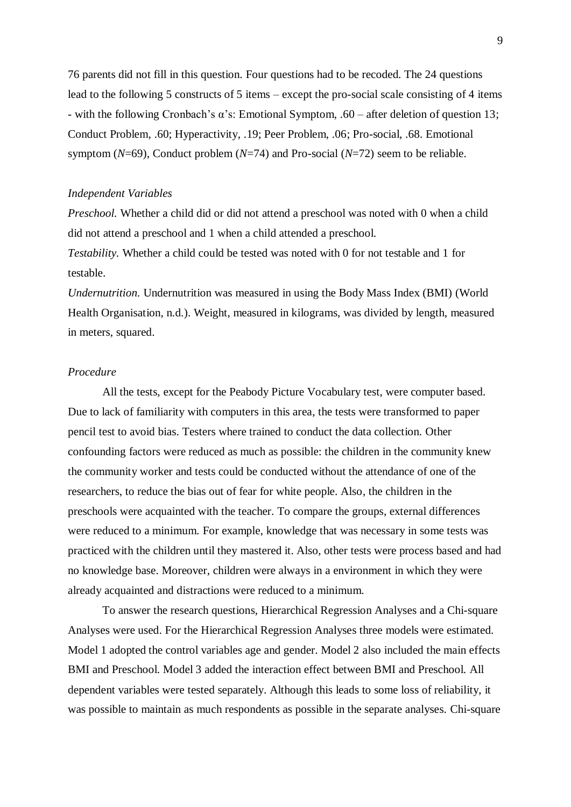76 parents did not fill in this question. Four questions had to be recoded. The 24 questions lead to the following 5 constructs of 5 items – except the pro-social scale consisting of 4 items - with the following Cronbach's  $\alpha$ 's: Emotional Symptom, .60 – after deletion of question 13; Conduct Problem, .60; Hyperactivity, .19; Peer Problem, .06; Pro-social, .68. Emotional symptom (*N*=69), Conduct problem (*N*=74) and Pro-social (*N*=72) seem to be reliable.

#### *Independent Variables*

*Preschool.* Whether a child did or did not attend a preschool was noted with 0 when a child did not attend a preschool and 1 when a child attended a preschool.

*Testability.* Whether a child could be tested was noted with 0 for not testable and 1 for testable.

*Undernutrition.* Undernutrition was measured in using the Body Mass Index (BMI) (World Health Organisation, n.d.). Weight, measured in kilograms, was divided by length, measured in meters, squared.

# *Procedure*

All the tests, except for the Peabody Picture Vocabulary test, were computer based. Due to lack of familiarity with computers in this area, the tests were transformed to paper pencil test to avoid bias. Testers where trained to conduct the data collection. Other confounding factors were reduced as much as possible: the children in the community knew the community worker and tests could be conducted without the attendance of one of the researchers, to reduce the bias out of fear for white people. Also, the children in the preschools were acquainted with the teacher. To compare the groups, external differences were reduced to a minimum. For example, knowledge that was necessary in some tests was practiced with the children until they mastered it. Also, other tests were process based and had no knowledge base. Moreover, children were always in a environment in which they were already acquainted and distractions were reduced to a minimum.

To answer the research questions, Hierarchical Regression Analyses and a Chi-square Analyses were used. For the Hierarchical Regression Analyses three models were estimated. Model 1 adopted the control variables age and gender. Model 2 also included the main effects BMI and Preschool. Model 3 added the interaction effect between BMI and Preschool. All dependent variables were tested separately. Although this leads to some loss of reliability, it was possible to maintain as much respondents as possible in the separate analyses. Chi-square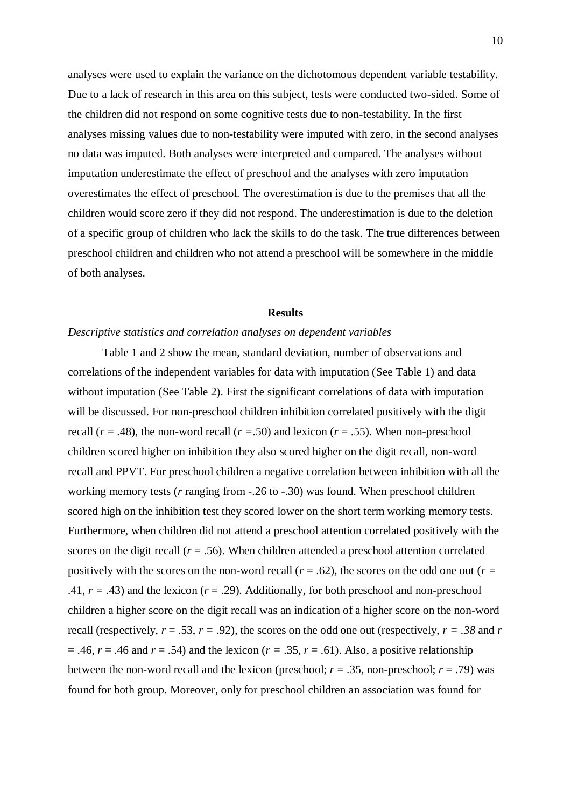analyses were used to explain the variance on the dichotomous dependent variable testability. Due to a lack of research in this area on this subject, tests were conducted two-sided. Some of the children did not respond on some cognitive tests due to non-testability. In the first analyses missing values due to non-testability were imputed with zero, in the second analyses no data was imputed. Both analyses were interpreted and compared. The analyses without imputation underestimate the effect of preschool and the analyses with zero imputation overestimates the effect of preschool. The overestimation is due to the premises that all the children would score zero if they did not respond. The underestimation is due to the deletion of a specific group of children who lack the skills to do the task. The true differences between preschool children and children who not attend a preschool will be somewhere in the middle of both analyses.

#### **Results**

#### *Descriptive statistics and correlation analyses on dependent variables*

Table 1 and 2 show the mean, standard deviation, number of observations and correlations of the independent variables for data with imputation (See Table 1) and data without imputation (See Table 2). First the significant correlations of data with imputation will be discussed. For non-preschool children inhibition correlated positively with the digit recall ( $r = .48$ ), the non-word recall ( $r = .50$ ) and lexicon ( $r = .55$ ). When non-preschool children scored higher on inhibition they also scored higher on the digit recall, non-word recall and PPVT. For preschool children a negative correlation between inhibition with all the working memory tests (*r* ranging from -.26 to -.30) was found. When preschool children scored high on the inhibition test they scored lower on the short term working memory tests. Furthermore, when children did not attend a preschool attention correlated positively with the scores on the digit recall  $(r = .56)$ . When children attended a preschool attention correlated positively with the scores on the non-word recall ( $r = .62$ ), the scores on the odd one out ( $r =$ .41,  $r = .43$ ) and the lexicon ( $r = .29$ ). Additionally, for both preschool and non-preschool children a higher score on the digit recall was an indication of a higher score on the non-word recall (respectively,  $r = .53$ ,  $r = .92$ ), the scores on the odd one out (respectively,  $r = .38$  and  $r = .28$  $= .46$ ,  $r = .46$  and  $r = .54$ ) and the lexicon ( $r = .35$ ,  $r = .61$ ). Also, a positive relationship between the non-word recall and the lexicon (preschool;  $r = .35$ , non-preschool;  $r = .79$ ) was found for both group. Moreover, only for preschool children an association was found for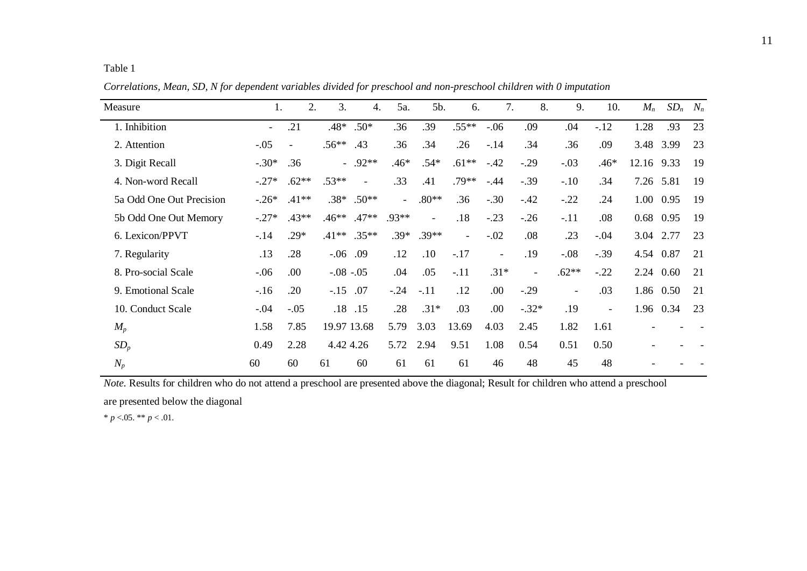Table 1

| Measure                  | 1.           | 2.             | 3.          | 4.                       | 5a.      | 5b.            | 6.                       | 7.             | 8.                       | 9.                       | 10.                      | $M_n$      | $SD_n$    | $N_n$ |
|--------------------------|--------------|----------------|-------------|--------------------------|----------|----------------|--------------------------|----------------|--------------------------|--------------------------|--------------------------|------------|-----------|-------|
| 1. Inhibition            | $\mathbf{r}$ | .21            | $.48*$      | $.50*$                   | .36      | .39            | $.55***$                 | $-.06$         | .09                      | .04                      | $-12$                    | 1.28       | .93       | 23    |
| 2. Attention             | $-.05$       | $\blacksquare$ | $.56**$     | .43                      | .36      | .34            | .26                      | $-.14$         | .34                      | .36                      | .09                      |            | 3.48 3.99 | 23    |
| 3. Digit Recall          | $-.30*$      | .36            |             | $-.92**$                 | $.46*$   | $.54*$         | $.61**$                  | $-.42$         | $-.29$                   | $-.03$                   | $.46*$                   | 12.16 9.33 |           | 19    |
| 4. Non-word Recall       | $-.27*$      | $.62**$        | $.53**$     | $\overline{\phantom{a}}$ | .33      | .41            | $.79**$                  | $-.44$         | $-.39$                   | $-.10$                   | .34                      | 7.26       | 5.81      | 19    |
| 5a Odd One Out Precision | $-.26*$      | $.41**$        | $.38*$      | $.50**$                  | $\equiv$ | $.80**$        | .36                      | $-.30$         | $-.42$                   | $-.22$                   | .24                      |            | 1.00 0.95 | 19    |
| 5b Odd One Out Memory    | $-.27*$      | $.43**$        | $.46**$     | $.47**$                  | $.93**$  | $\blacksquare$ | .18                      | $-.23$         | $-.26$                   | $-.11$                   | .08                      | 0.68 0.95  |           | 19    |
| 6. Lexicon/PPVT          | $-.14$       | $.29*$         | $.41**$     | $.35***$                 | $.39*$   | $.39**$        | $\overline{\phantom{a}}$ | $-.02$         | .08                      | .23                      | $-.04$                   | 3.04 2.77  |           | 23    |
| 7. Regularity            | .13          | .28            | $-.06$      | .09                      | .12      | .10            | $-.17$                   | $\blacksquare$ | .19                      | $-.08$                   | $-.39$                   | 4.54 0.87  |           | 21    |
| 8. Pro-social Scale      | $-.06$       | .00            | $-.08-.05$  |                          | .04      | .05            | $-.11$                   | $.31*$         | $\overline{\phantom{a}}$ | $.62**$                  | $-.22$                   |            | 2.24 0.60 | 21    |
| 9. Emotional Scale       | $-16$        | .20            | $-.15$      | .07                      | $-.24$   | $-.11$         | .12                      | .00.           | $-.29$                   | $\overline{\phantom{a}}$ | .03                      |            | 1.86 0.50 | 21    |
| 10. Conduct Scale        | $-.04$       | $-.05$         | .18         | .15                      | .28      | $.31*$         | .03                      | .00.           | $-.32*$                  | .19                      | $\overline{\phantom{a}}$ |            | 1.96 0.34 | 23    |
| $M_p$                    | 1.58         | 7.85           | 19.97 13.68 |                          | 5.79     | 3.03           | 13.69                    | 4.03           | 2.45                     | 1.82                     | 1.61                     |            |           |       |
| $SD_p$                   | 0.49         | 2.28           | 4.42 4.26   |                          | 5.72     | 2.94           | 9.51                     | 1.08           | 0.54                     | 0.51                     | 0.50                     |            |           |       |
| $N_p$                    | 60           | 60             | 61          | 60                       | 61       | 61             | 61                       | 46             | 48                       | 45                       | 48                       |            |           |       |

*Correlations, Mean, SD, N for dependent variables divided for preschool and non-preschool children with 0 imputation*

*Note.* Results for children who do not attend a preschool are presented above the diagonal; Result for children who attend a preschool are presented below the diagonal

\*  $p < 0.05$ . \*\*  $p < 0.01$ .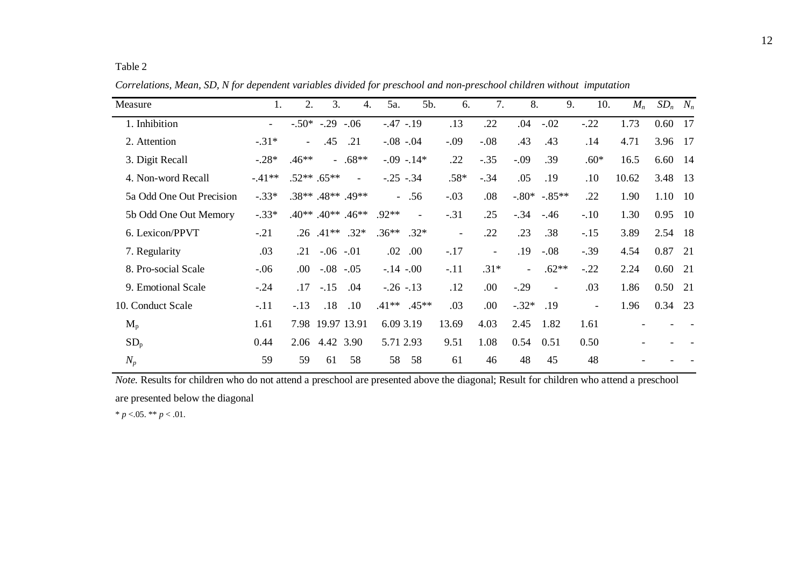| Measure                  | 1.                       | 2.       | 3.               | $\overline{4}$ .            | 5a.           | 5b.                      | 6.                       | 7.                       | 8.       |               | 9.<br>10.                | $M_n$ | $SD_n$ | $N_n$ |
|--------------------------|--------------------------|----------|------------------|-----------------------------|---------------|--------------------------|--------------------------|--------------------------|----------|---------------|--------------------------|-------|--------|-------|
| 1. Inhibition            | $\overline{\phantom{a}}$ |          | $-.50* -.29-.06$ |                             | $-.47-.19$    |                          | .13                      | .22                      | .04      | $-.02$        | $-.22$                   | 1.73  | 0.60   | 17    |
| 2. Attention             | $-.31*$                  | $\equiv$ | .45              | .21                         |               | $-.08-.04$               | $-.09$                   | $-.08$                   | .43      | .43           | .14                      | 4.71  | 3.96   | - 17  |
| 3. Digit Recall          | $-.28*$                  | $.46**$  |                  | $-.68**$                    |               | $-.09-.14*$              | .22                      | $-.35$                   | $-.09$   | .39           | $.60*$                   | 16.5  | 6.60   | -14   |
| 4. Non-word Recall       | $-41**$                  |          | $.52***$ .65**   | $\blacksquare$              | $-.25-.34$    |                          | $.58*$                   | $-.34$                   | .05      | .19           | .10                      | 10.62 | 3.48   | 13    |
| 5a Odd One Out Precision | $-.33*$                  |          |                  | .38** .48** .49**           |               | $-.56$                   | $-.03$                   | .08                      |          | $-.80*-.85**$ | .22                      | 1.90  | 1.10   | - 10  |
| 5b Odd One Out Memory    | $-.33*$                  |          |                  | $.40**$ . $.40**$ . $.46**$ | $.92**$       | $\overline{\phantom{a}}$ | $-.31$                   | .25                      | $-.34$   | $-.46$        | $-.10$                   | 1.30  | 0.95   | -10   |
| 6. Lexicon/PPVT          | $-.21$                   | .26      | $.41**$          | $.32*$                      | $.36***$ .32* |                          | $\overline{\phantom{a}}$ | .22                      | .23      | .38           | $-.15$                   | 3.89  | 2.54   | -18   |
| 7. Regularity            | .03                      | .21      | $-.06-.01$       |                             | .02           | .00                      | $-.17$                   | $\overline{\phantom{a}}$ | .19      | $-.08$        | $-.39$                   | 4.54  | 0.87   | 21    |
| 8. Pro-social Scale      | $-.06$                   | .00.     | $-.08-.05$       |                             | $-.14-.00$    |                          | $-.11$                   | $.31*$                   | $\equiv$ | $.62**$       | $-.22$                   | 2.24  | 0.60   | 21    |
| 9. Emotional Scale       | $-.24$                   | .17      | $-.15$           | .04                         | $-.26-.13$    |                          | .12                      | .00                      | $-.29$   |               | .03                      | 1.86  | 0.50   | 21    |
| 10. Conduct Scale        | $-.11$                   | $-.13$   | .18              | .10                         |               | $.41***$ $.45***$        | .03                      | .00                      | $-.32*$  | .19           | $\overline{\phantom{0}}$ | 1.96  | 0.34   | 23    |
| $M_{p}$                  | 1.61                     | 7.98     |                  | 19.97 13.91                 | 6.09 3.19     |                          | 13.69                    | 4.03                     | 2.45     | 1.82          | 1.61                     |       |        |       |
| $SD_p$                   | 0.44                     | 2.06     | 4.42 3.90        |                             | 5.71 2.93     |                          | 9.51                     | 1.08                     | 0.54     | 0.51          | 0.50                     |       |        |       |
| $N_p$                    | 59                       | 59       | 61               | 58                          | 58            | 58                       | 61                       | 46                       | 48       | 45            | 48                       |       |        |       |

*Correlations, Mean, SD, N for dependent variables divided for preschool and non-preschool children without imputation*

*Note.* Results for children who do not attend a preschool are presented above the diagonal; Result for children who attend a preschool are presented below the diagonal

\*  $p < 0.05$ . \*\*  $p < 0.01$ .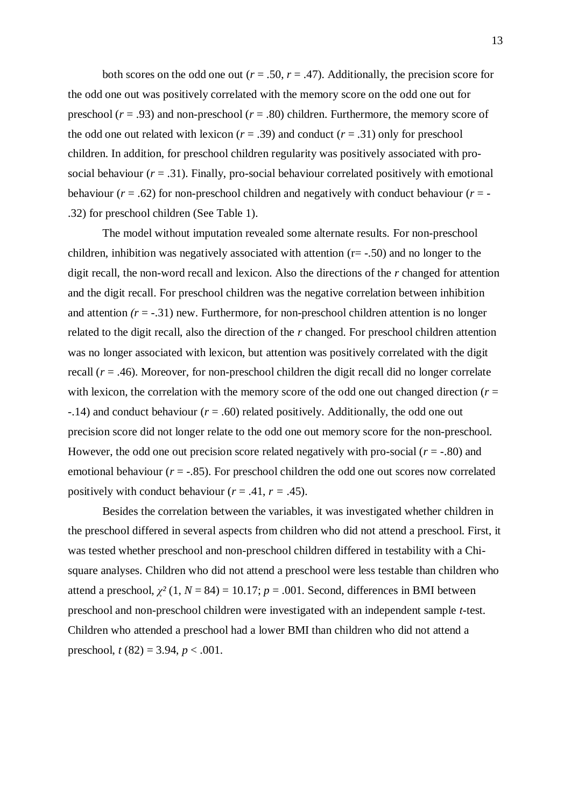both scores on the odd one out ( $r = .50$ ,  $r = .47$ ). Additionally, the precision score for the odd one out was positively correlated with the memory score on the odd one out for preschool ( $r = .93$ ) and non-preschool ( $r = .80$ ) children. Furthermore, the memory score of the odd one out related with lexicon  $(r = .39)$  and conduct  $(r = .31)$  only for preschool children. In addition, for preschool children regularity was positively associated with prosocial behaviour  $(r = .31)$ . Finally, pro-social behaviour correlated positively with emotional behaviour ( $r = .62$ ) for non-preschool children and negatively with conduct behaviour ( $r = -$ .32) for preschool children (See Table 1).

The model without imputation revealed some alternate results. For non-preschool children, inhibition was negatively associated with attention  $(r = -0.50)$  and no longer to the digit recall, the non-word recall and lexicon. Also the directions of the *r* changed for attention and the digit recall. For preschool children was the negative correlation between inhibition and attention  $(r = -.31)$  new. Furthermore, for non-preschool children attention is no longer related to the digit recall, also the direction of the *r* changed. For preschool children attention was no longer associated with lexicon, but attention was positively correlated with the digit recall  $(r = .46)$ . Moreover, for non-preschool children the digit recall did no longer correlate with lexicon, the correlation with the memory score of the odd one out changed direction ( $r =$ -.14) and conduct behaviour (*r* = .60) related positively. Additionally, the odd one out precision score did not longer relate to the odd one out memory score for the non-preschool. However, the odd one out precision score related negatively with pro-social  $(r = .80)$  and emotional behaviour  $(r = -.85)$ . For preschool children the odd one out scores now correlated positively with conduct behaviour  $(r = .41, r = .45)$ .

Besides the correlation between the variables, it was investigated whether children in the preschool differed in several aspects from children who did not attend a preschool. First, it was tested whether preschool and non-preschool children differed in testability with a Chisquare analyses. Children who did not attend a preschool were less testable than children who attend a preschool,  $\chi^2$  (1, *N* = 84) = 10.17; *p* = .001. Second, differences in BMI between preschool and non-preschool children were investigated with an independent sample *t*-test. Children who attended a preschool had a lower BMI than children who did not attend a preschool, *t* (82) = 3.94, *p* < .001.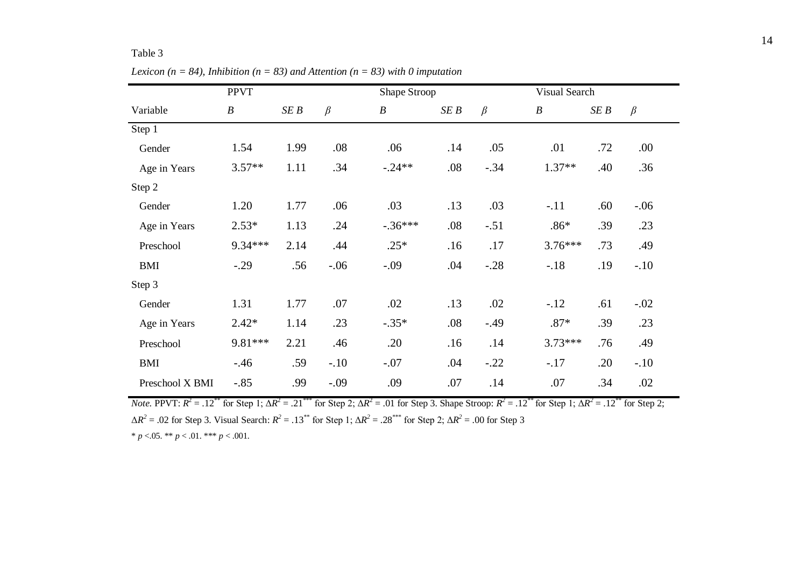|                 | <b>PPVT</b>      |      |         | Shape Stroop     |      |         | Visual Search    |      |         |
|-----------------|------------------|------|---------|------------------|------|---------|------------------|------|---------|
| Variable        | $\boldsymbol{B}$ | SEB  | $\beta$ | $\boldsymbol{B}$ | SE B | $\beta$ | $\boldsymbol{B}$ | SE B | $\beta$ |
| Step 1          |                  |      |         |                  |      |         |                  |      |         |
| Gender          | 1.54             | 1.99 | .08     | .06              | .14  | .05     | .01              | .72  | .00     |
| Age in Years    | $3.57**$         | 1.11 | .34     | $-.24**$         | .08  | $-.34$  | $1.37**$         | .40  | .36     |
| Step 2          |                  |      |         |                  |      |         |                  |      |         |
| Gender          | 1.20             | 1.77 | .06     | .03              | .13  | .03     | $-.11$           | .60  | $-.06$  |
| Age in Years    | $2.53*$          | 1.13 | .24     | $-.36***$        | .08  | $-.51$  | $.86*$           | .39  | .23     |
| Preschool       | 9.34***          | 2.14 | .44     | $.25*$           | .16  | .17     | $3.76***$        | .73  | .49     |
| <b>BMI</b>      | $-.29$           | .56  | $-.06$  | $-.09$           | .04  | $-.28$  | $-.18$           | .19  | $-.10$  |
| Step 3          |                  |      |         |                  |      |         |                  |      |         |
| Gender          | 1.31             | 1.77 | .07     | .02              | .13  | .02     | $-.12$           | .61  | $-.02$  |
| Age in Years    | $2.42*$          | 1.14 | .23     | $-.35*$          | .08  | $-.49$  | $.87*$           | .39  | .23     |
| Preschool       | 9.81***          | 2.21 | .46     | .20              | .16  | .14     | $3.73***$        | .76  | .49     |
| <b>BMI</b>      | $-.46$           | .59  | $-.10$  | $-.07$           | .04  | $-.22$  | $-.17$           | .20  | $-.10$  |
| Preschool X BMI | $-.85$           | .99  | $-.09$  | .09              | .07  | .14     | .07              | .34  | .02     |

*Lexicon (n = 84), Inhibition (n = 83) and Attention (n = 83) with 0 imputation* 

*Note.* PPVT:  $R^2 = .12^{**}$  for Step 1;  $\Delta R^2 = .21^{***}$  for Step 2;  $\Delta R^2 = .01$  for Step 3. Shape Stroop:  $R^2 = .12^{**}$  for Step 1;  $\Delta R^2 = .12^{**}$  for Step 2;  $\Delta R^2 = .02$  for Step 3. Visual Search:  $R^2 = .13^{**}$  for Step 1;  $\Delta R^2 = .28^{***}$  for Step 2;  $\Delta R^2 = .00$  for Step 3

\*  $p < 0.05$ . \*\*  $p < 0.01$ . \*\*\*  $p < 0.001$ .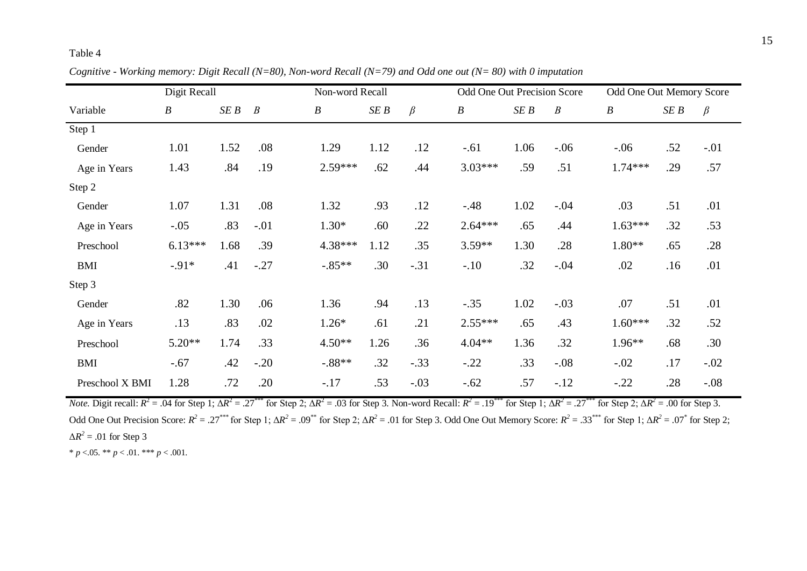|                 | Digit Recall     |      |                  | Non-word Recall  |      |         | Odd One Out Precision Score |      |                  | Odd One Out Memory Score |      |         |
|-----------------|------------------|------|------------------|------------------|------|---------|-----------------------------|------|------------------|--------------------------|------|---------|
| Variable        | $\boldsymbol{B}$ | SEB  | $\boldsymbol{B}$ | $\boldsymbol{B}$ | SEB  | $\beta$ | $\boldsymbol{B}$            | SEB  | $\boldsymbol{B}$ | $\boldsymbol{B}$         | SE B | $\beta$ |
| Step 1          |                  |      |                  |                  |      |         |                             |      |                  |                          |      |         |
| Gender          | 1.01             | 1.52 | .08              | 1.29             | 1.12 | .12     | $-.61$                      | 1.06 | $-.06$           | $-.06$                   | .52  | $-.01$  |
| Age in Years    | 1.43             | .84  | .19              | $2.59***$        | .62  | .44     | $3.03***$                   | .59  | .51              | $1.74***$                | .29  | .57     |
| Step 2          |                  |      |                  |                  |      |         |                             |      |                  |                          |      |         |
| Gender          | 1.07             | 1.31 | .08              | 1.32             | .93  | .12     | $-.48$                      | 1.02 | $-.04$           | .03                      | .51  | .01     |
| Age in Years    | $-.05$           | .83  | $-.01$           | $1.30*$          | .60  | .22     | $2.64***$                   | .65  | .44              | $1.63***$                | .32  | .53     |
| Preschool       | $6.13***$        | 1.68 | .39              | 4.38***          | 1.12 | .35     | 3.59**                      | 1.30 | .28              | $1.80**$                 | .65  | .28     |
| <b>BMI</b>      | $-0.91*$         | .41  | $-.27$           | $-.85**$         | .30  | $-.31$  | $-.10$                      | .32  | $-.04$           | .02                      | .16  | .01     |
| Step 3          |                  |      |                  |                  |      |         |                             |      |                  |                          |      |         |
| Gender          | .82              | 1.30 | .06              | 1.36             | .94  | .13     | $-.35$                      | 1.02 | $-.03$           | .07                      | .51  | .01     |
| Age in Years    | .13              | .83  | .02              | $1.26*$          | .61  | .21     | $2.55***$                   | .65  | .43              | $1.60***$                | .32  | .52     |
| Preschool       | $5.20**$         | 1.74 | .33              | $4.50**$         | 1.26 | .36     | $4.04**$                    | 1.36 | .32              | $1.96**$                 | .68  | .30     |
| <b>BMI</b>      | $-.67$           | .42  | $-.20$           | $-.88**$         | .32  | $-.33$  | $-.22$                      | .33  | $-.08$           | $-.02$                   | .17  | $-.02$  |
| Preschool X BMI | 1.28             | .72  | .20              | $-.17$           | .53  | $-.03$  | $-.62$                      | .57  | $-.12$           | $-.22$                   | .28  | $-.08$  |

*Cognitive - Working memory: Digit Recall (N=80), Non-word Recall (N=79) and Odd one out (N= 80) with 0 imputation*

*Note*. Digit recall:  $R^2 = .04$  for Step 1;  $\Delta R^2 = .27^{***}$  for Step 2;  $\Delta R^2 = .03$  for Step 3. Non-word Recall:  $R^2 = .19^{***}$  for Step 1;  $\Delta R^2 = .27^{***}$  for Step 2;  $\Delta R^2 = .00$  for Step 3. Odd One Out Precision Score:  $R^2 = .27^{***}$  for Step 1;  $\Delta R^2 = .09^{**}$  for Step 2;  $\Delta R^2 = .01$  for Step 3. Odd One Out Memory Score:  $R^2 = .33^{***}$  for Step 1;  $\Delta R^2 = .07^*$  for Step 2;  $\Delta R^2$  = .01 for Step 3

\*  $p < .05$ . \*\*  $p < .01$ . \*\*\*  $p < .001$ .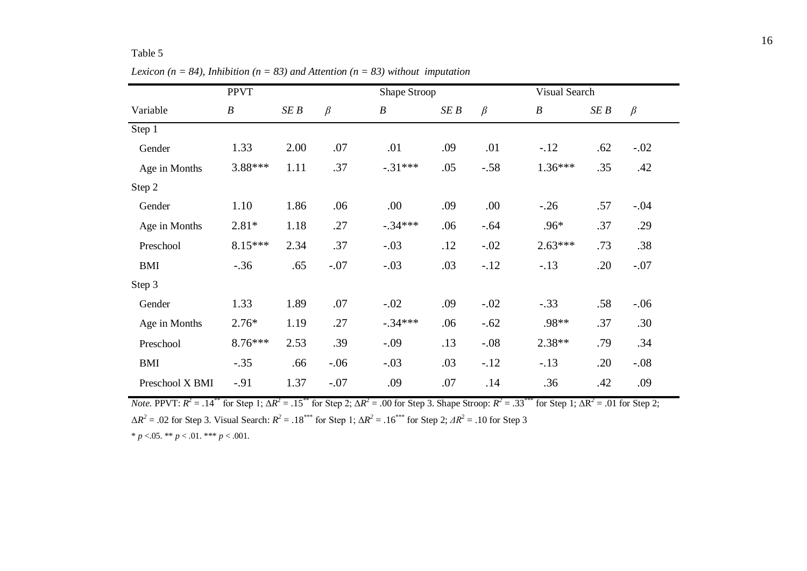|                 | <b>PPVT</b>      |      |         | Shape Stroop     |     |         |                  | Visual Search |         |  |  |
|-----------------|------------------|------|---------|------------------|-----|---------|------------------|---------------|---------|--|--|
| Variable        | $\boldsymbol{B}$ | SEB  | $\beta$ | $\boldsymbol{B}$ | SEB | $\beta$ | $\boldsymbol{B}$ | SE B          | $\beta$ |  |  |
| Step 1          |                  |      |         |                  |     |         |                  |               |         |  |  |
| Gender          | 1.33             | 2.00 | .07     | .01              | .09 | .01     | $-.12$           | .62           | $-.02$  |  |  |
| Age in Months   | 3.88***          | 1.11 | .37     | $-.31***$        | .05 | $-.58$  | $1.36***$        | .35           | .42     |  |  |
| Step 2          |                  |      |         |                  |     |         |                  |               |         |  |  |
| Gender          | 1.10             | 1.86 | .06     | .00              | .09 | .00.    | $-.26$           | .57           | $-.04$  |  |  |
| Age in Months   | $2.81*$          | 1.18 | .27     | $-.34***$        | .06 | $-.64$  | .96*             | .37           | .29     |  |  |
| Preschool       | 8.15***          | 2.34 | .37     | $-.03$           | .12 | $-.02$  | $2.63***$        | .73           | .38     |  |  |
| <b>BMI</b>      | $-.36$           | .65  | $-.07$  | $-.03$           | .03 | $-.12$  | $-.13$           | .20           | $-.07$  |  |  |
| Step 3          |                  |      |         |                  |     |         |                  |               |         |  |  |
| Gender          | 1.33             | 1.89 | .07     | $-.02$           | .09 | $-.02$  | $-.33$           | .58           | $-.06$  |  |  |
| Age in Months   | $2.76*$          | 1.19 | .27     | $-.34***$        | .06 | $-.62$  | .98**            | .37           | .30     |  |  |
| Preschool       | 8.76***          | 2.53 | .39     | $-.09$           | .13 | $-.08$  | $2.38**$         | .79           | .34     |  |  |
| <b>BMI</b>      | $-.35$           | .66  | $-.06$  | $-.03$           | .03 | $-.12$  | $-.13$           | .20           | $-.08$  |  |  |
| Preschool X BMI | $-.91$           | 1.37 | $-.07$  | .09              | .07 | .14     | .36              | .42           | .09     |  |  |

*Lexicon (n = 84), Inhibition (n = 83) and Attention (n = 83) without imputation* 

*Note.* PPVT:  $R^2 = .14^{**}$  for Step 1;  $\Delta R^2 = .15^{**}$  for Step 2;  $\Delta R^2 = .00$  for Step 3. Shape Stroop:  $R^2 = .33^{***}$  for Step 1;  $\Delta R^2 = .01$  for Step 2;  $ΔR<sup>2</sup> = .02$  for Step 3. Visual Search:  $R<sup>2</sup> = .18$ <sup>\*\*\*</sup> for Step 1;  $ΔR<sup>2</sup> = .16$ <sup>\*\*\*</sup> for Step 2;  $ΔR<sup>2</sup> = .10$  for Step 3

 $* p < .05. ** p < .01.*** p < .001.$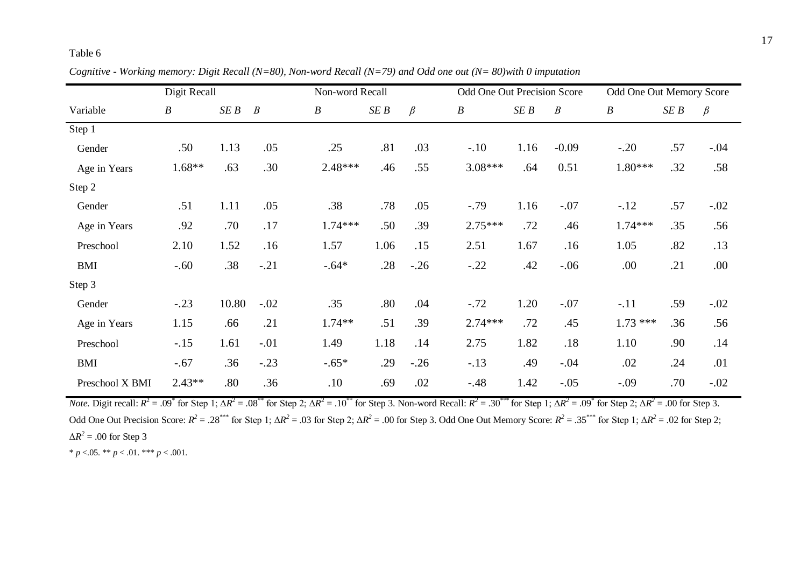|                 | Digit Recall     |       |                  | Non-word Recall  |      |         | Odd One Out Precision Score |      |                  | Odd One Out Memory Score |      |         |
|-----------------|------------------|-------|------------------|------------------|------|---------|-----------------------------|------|------------------|--------------------------|------|---------|
| Variable        | $\boldsymbol{B}$ | SEB   | $\boldsymbol{B}$ | $\boldsymbol{B}$ | SEB  | $\beta$ | $\boldsymbol{B}$            | SEB  | $\boldsymbol{B}$ | $\boldsymbol{B}$         | SE B | $\beta$ |
| Step 1          |                  |       |                  |                  |      |         |                             |      |                  |                          |      |         |
| Gender          | .50              | 1.13  | .05              | .25              | .81  | .03     | $-.10$                      | 1.16 | $-0.09$          | $-.20$                   | .57  | $-.04$  |
| Age in Years    | $1.68**$         | .63   | .30              | $2.48***$        | .46  | .55     | $3.08***$                   | .64  | 0.51             | 1.80***                  | .32  | .58     |
| Step 2          |                  |       |                  |                  |      |         |                             |      |                  |                          |      |         |
| Gender          | .51              | 1.11  | .05              | .38              | .78  | .05     | $-.79$                      | 1.16 | $-.07$           | $-12$                    | .57  | $-.02$  |
| Age in Years    | .92              | .70   | .17              | $1.74***$        | .50  | .39     | $2.75***$                   | .72  | .46              | $1.74***$                | .35  | .56     |
| Preschool       | 2.10             | 1.52  | .16              | 1.57             | 1.06 | .15     | 2.51                        | 1.67 | .16              | 1.05                     | .82  | .13     |
| <b>BMI</b>      | $-.60$           | .38   | $-.21$           | $-.64*$          | .28  | $-.26$  | $-.22$                      | .42  | $-.06$           | .00                      | .21  | .00     |
| Step 3          |                  |       |                  |                  |      |         |                             |      |                  |                          |      |         |
| Gender          | $-.23$           | 10.80 | $-.02$           | .35              | .80  | .04     | $-.72$                      | 1.20 | $-.07$           | $-.11$                   | .59  | $-.02$  |
| Age in Years    | 1.15             | .66   | .21              | 1.74**           | .51  | .39     | $2.74***$                   | .72  | .45              | $1.73***$                | .36  | .56     |
| Preschool       | $-.15$           | 1.61  | $-.01$           | 1.49             | 1.18 | .14     | 2.75                        | 1.82 | .18              | 1.10                     | .90  | .14     |
| <b>BMI</b>      | $-.67$           | .36   | $-.23$           | $-.65*$          | .29  | $-.26$  | $-.13$                      | .49  | $-.04$           | .02                      | .24  | .01     |
| Preschool X BMI | $2.43**$         | .80   | .36              | .10              | .69  | .02     | $-.48$                      | 1.42 | $-.05$           | $-.09$                   | .70  | $-.02$  |

*Cognitive - Working memory: Digit Recall (N=80), Non-word Recall (N=79) and Odd one out (N= 80)with 0 imputation*

*Note*. Digit recall:  $R^2 = .09^*$  for Step 1;  $\Delta R^2 = .08^{**}$  for Step 2;  $\Delta R^2 = .10^{**}$  for Step 3. Non-word Recall:  $R^2 = .30^{***}$  for Step 1;  $\Delta R^2 = .09^*$  for Step 2;  $\Delta R^2 = .00$  for Step 3. Odd One Out Precision Score:  $R^2 = .28^{***}$  for Step 1;  $\Delta R^2 = .03$  for Step 2;  $\Delta R^2 = .00$  for Step 3. Odd One Out Memory Score:  $R^2 = .35^{***}$  for Step 1;  $\Delta R^2 = .02$  for Step 2;  $\Delta R^2$  = .00 for Step 3

\*  $p < .05$ . \*\*  $p < .01$ . \*\*\*  $p < .001$ .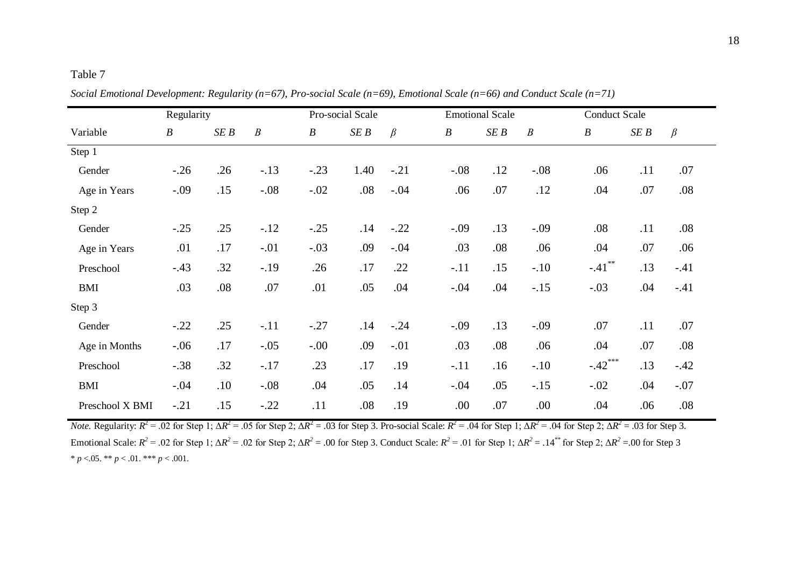|                 | Regularity       |     |                  |                  | Pro-social Scale |         |                  | <b>Emotional Scale</b> |                  |                  | <b>Conduct Scale</b> |         |  |  |
|-----------------|------------------|-----|------------------|------------------|------------------|---------|------------------|------------------------|------------------|------------------|----------------------|---------|--|--|
| Variable        | $\boldsymbol{B}$ | SEB | $\boldsymbol{B}$ | $\boldsymbol{B}$ | SEB              | $\beta$ | $\boldsymbol{B}$ | SEB                    | $\boldsymbol{B}$ | $\boldsymbol{B}$ | SEB                  | $\beta$ |  |  |
| Step 1          |                  |     |                  |                  |                  |         |                  |                        |                  |                  |                      |         |  |  |
| Gender          | $-.26$           | .26 | $-.13$           | $-.23$           | 1.40             | $-.21$  | $-.08$           | .12                    | $-.08$           | .06              | .11                  | .07     |  |  |
| Age in Years    | $-.09$           | .15 | $-.08$           | $-.02$           | .08              | $-.04$  | .06              | .07                    | .12              | .04              | .07                  | .08     |  |  |
| Step 2          |                  |     |                  |                  |                  |         |                  |                        |                  |                  |                      |         |  |  |
| Gender          | $-.25$           | .25 | $-.12$           | $-.25$           | .14              | $-.22$  | $-.09$           | .13                    | $-.09$           | .08              | .11                  | .08     |  |  |
| Age in Years    | .01              | .17 | $-.01$           | $-.03$           | .09              | $-.04$  | .03              | .08                    | .06              | .04              | .07                  | .06     |  |  |
| Preschool       | $-.43$           | .32 | $-.19$           | .26              | .17              | .22     | $-.11$           | .15                    | $-.10$           | $-.41$           | .13                  | $-.41$  |  |  |
| <b>BMI</b>      | .03              | .08 | .07              | .01              | .05              | .04     | $-.04$           | .04                    | $-.15$           | $-.03$           | .04                  | $-.41$  |  |  |
| Step 3          |                  |     |                  |                  |                  |         |                  |                        |                  |                  |                      |         |  |  |
| Gender          | $-.22$           | .25 | $-.11$           | $-.27$           | .14              | $-.24$  | $-.09$           | .13                    | $-.09$           | .07              | .11                  | .07     |  |  |
| Age in Months   | $-.06$           | .17 | $-.05$           | $-.00$           | .09              | $-.01$  | .03              | .08                    | .06              | .04              | .07                  | .08     |  |  |
| Preschool       | $-.38$           | .32 | $-.17$           | .23              | .17              | .19     | $-.11$           | .16                    | $-.10$           | $-.42***$        | .13                  | $-.42$  |  |  |
| <b>BMI</b>      | $-.04$           | .10 | $-.08$           | .04              | .05              | .14     | $-.04$           | .05                    | $-.15$           | $-.02$           | .04                  | $-.07$  |  |  |
| Preschool X BMI | $-.21$           | .15 | $-.22$           | .11              | .08              | .19     | .00              | .07                    | .00              | .04              | .06                  | .08     |  |  |

*Social Emotional Development: Regularity (n=67), Pro-social Scale (n=69), Emotional Scale (n=66) and Conduct Scale (n=71)*

*Note.* Regularity:  $R^2 = .02$  for Step 1;  $\Delta R^2 = .05$  for Step 2;  $\Delta R^2 = .03$  for Step 3. Pro-social Scale:  $R^2 = .04$  for Step 1;  $\Delta R^2 = .04$  for Step 2;  $\Delta R^2 = .03$  for Step 3. Emotional Scale:  $R^2 = .02$  for Step 1;  $\Delta R^2 = .02$  for Step 2;  $\Delta R^2 = .00$  for Step 3. Conduct Scale:  $R^2 = .01$  for Step 1;  $\Delta R^2 = .14^{**}$  for Step 2;  $\Delta R^2 = .00$  for Step 3 \*  $p < 05$ . \*\*  $p < 01$ . \*\*\*  $p < 001$ .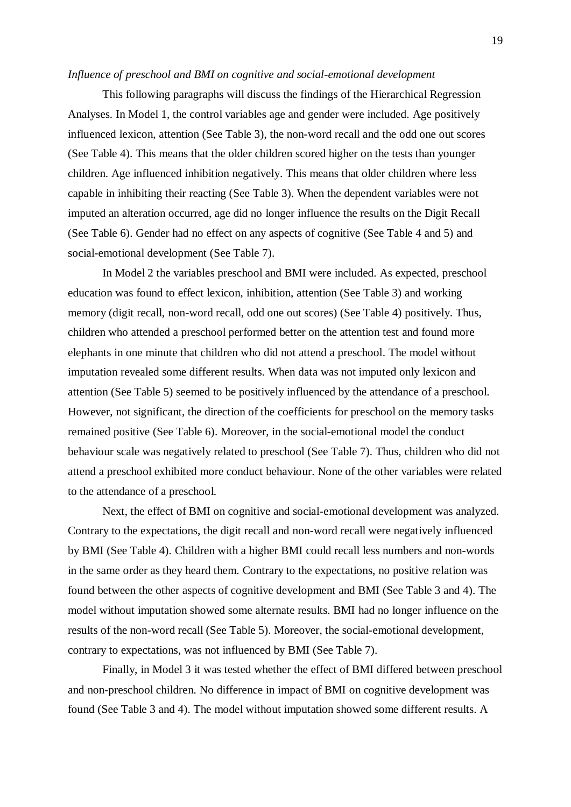#### *Influence of preschool and BMI on cognitive and social-emotional development*

This following paragraphs will discuss the findings of the Hierarchical Regression Analyses. In Model 1, the control variables age and gender were included. Age positively influenced lexicon, attention (See Table 3), the non-word recall and the odd one out scores (See Table 4). This means that the older children scored higher on the tests than younger children. Age influenced inhibition negatively. This means that older children where less capable in inhibiting their reacting (See Table 3). When the dependent variables were not imputed an alteration occurred, age did no longer influence the results on the Digit Recall (See Table 6). Gender had no effect on any aspects of cognitive (See Table 4 and 5) and social-emotional development (See Table 7).

In Model 2 the variables preschool and BMI were included. As expected, preschool education was found to effect lexicon, inhibition, attention (See Table 3) and working memory (digit recall, non-word recall, odd one out scores) (See Table 4) positively. Thus, children who attended a preschool performed better on the attention test and found more elephants in one minute that children who did not attend a preschool. The model without imputation revealed some different results. When data was not imputed only lexicon and attention (See Table 5) seemed to be positively influenced by the attendance of a preschool. However, not significant, the direction of the coefficients for preschool on the memory tasks remained positive (See Table 6). Moreover, in the social-emotional model the conduct behaviour scale was negatively related to preschool (See Table 7). Thus, children who did not attend a preschool exhibited more conduct behaviour. None of the other variables were related to the attendance of a preschool.

Next, the effect of BMI on cognitive and social-emotional development was analyzed. Contrary to the expectations, the digit recall and non-word recall were negatively influenced by BMI (See Table 4). Children with a higher BMI could recall less numbers and non-words in the same order as they heard them. Contrary to the expectations, no positive relation was found between the other aspects of cognitive development and BMI (See Table 3 and 4). The model without imputation showed some alternate results. BMI had no longer influence on the results of the non-word recall (See Table 5). Moreover, the social-emotional development, contrary to expectations, was not influenced by BMI (See Table 7).

Finally, in Model 3 it was tested whether the effect of BMI differed between preschool and non-preschool children. No difference in impact of BMI on cognitive development was found (See Table 3 and 4). The model without imputation showed some different results. A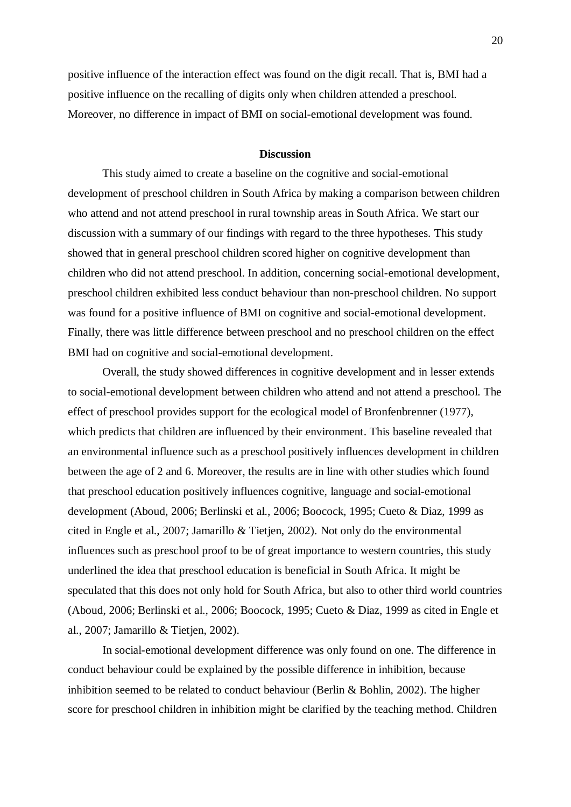positive influence of the interaction effect was found on the digit recall. That is, BMI had a positive influence on the recalling of digits only when children attended a preschool. Moreover, no difference in impact of BMI on social-emotional development was found.

## **Discussion**

This study aimed to create a baseline on the cognitive and social-emotional development of preschool children in South Africa by making a comparison between children who attend and not attend preschool in rural township areas in South Africa. We start our discussion with a summary of our findings with regard to the three hypotheses. This study showed that in general preschool children scored higher on cognitive development than children who did not attend preschool. In addition, concerning social-emotional development, preschool children exhibited less conduct behaviour than non-preschool children. No support was found for a positive influence of BMI on cognitive and social-emotional development. Finally, there was little difference between preschool and no preschool children on the effect BMI had on cognitive and social-emotional development.

Overall, the study showed differences in cognitive development and in lesser extends to social-emotional development between children who attend and not attend a preschool. The effect of preschool provides support for the ecological model of Bronfenbrenner (1977), which predicts that children are influenced by their environment. This baseline revealed that an environmental influence such as a preschool positively influences development in children between the age of 2 and 6. Moreover, the results are in line with other studies which found that preschool education positively influences cognitive, language and social-emotional development (Aboud, 2006; Berlinski et al., 2006; Boocock, 1995; Cueto & Diaz, 1999 as cited in Engle et al., 2007; Jamarillo & Tietjen, 2002). Not only do the environmental influences such as preschool proof to be of great importance to western countries, this study underlined the idea that preschool education is beneficial in South Africa. It might be speculated that this does not only hold for South Africa, but also to other third world countries (Aboud, 2006; Berlinski et al., 2006; Boocock, 1995; Cueto & Diaz, 1999 as cited in Engle et al., 2007; Jamarillo & Tietjen, 2002).

In social-emotional development difference was only found on one. The difference in conduct behaviour could be explained by the possible difference in inhibition, because inhibition seemed to be related to conduct behaviour (Berlin & Bohlin, 2002). The higher score for preschool children in inhibition might be clarified by the teaching method. Children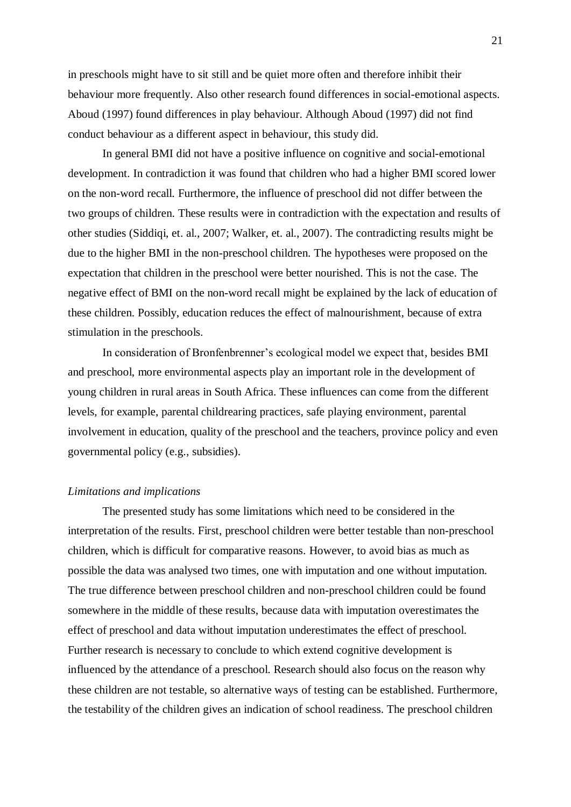in preschools might have to sit still and be quiet more often and therefore inhibit their behaviour more frequently. Also other research found differences in social-emotional aspects. Aboud (1997) found differences in play behaviour. Although Aboud (1997) did not find conduct behaviour as a different aspect in behaviour, this study did.

In general BMI did not have a positive influence on cognitive and social-emotional development. In contradiction it was found that children who had a higher BMI scored lower on the non-word recall. Furthermore, the influence of preschool did not differ between the two groups of children. These results were in contradiction with the expectation and results of other studies (Siddiqi, et. al., 2007; Walker, et. al., 2007). The contradicting results might be due to the higher BMI in the non-preschool children. The hypotheses were proposed on the expectation that children in the preschool were better nourished. This is not the case. The negative effect of BMI on the non-word recall might be explained by the lack of education of these children. Possibly, education reduces the effect of malnourishment, because of extra stimulation in the preschools.

In consideration of Bronfenbrenner's ecological model we expect that, besides BMI and preschool, more environmental aspects play an important role in the development of young children in rural areas in South Africa. These influences can come from the different levels, for example, parental childrearing practices, safe playing environment, parental involvement in education, quality of the preschool and the teachers, province policy and even governmental policy (e.g., subsidies).

#### *Limitations and implications*

The presented study has some limitations which need to be considered in the interpretation of the results. First, preschool children were better testable than non-preschool children, which is difficult for comparative reasons. However, to avoid bias as much as possible the data was analysed two times, one with imputation and one without imputation. The true difference between preschool children and non-preschool children could be found somewhere in the middle of these results, because data with imputation overestimates the effect of preschool and data without imputation underestimates the effect of preschool. Further research is necessary to conclude to which extend cognitive development is influenced by the attendance of a preschool. Research should also focus on the reason why these children are not testable, so alternative ways of testing can be established. Furthermore, the testability of the children gives an indication of school readiness. The preschool children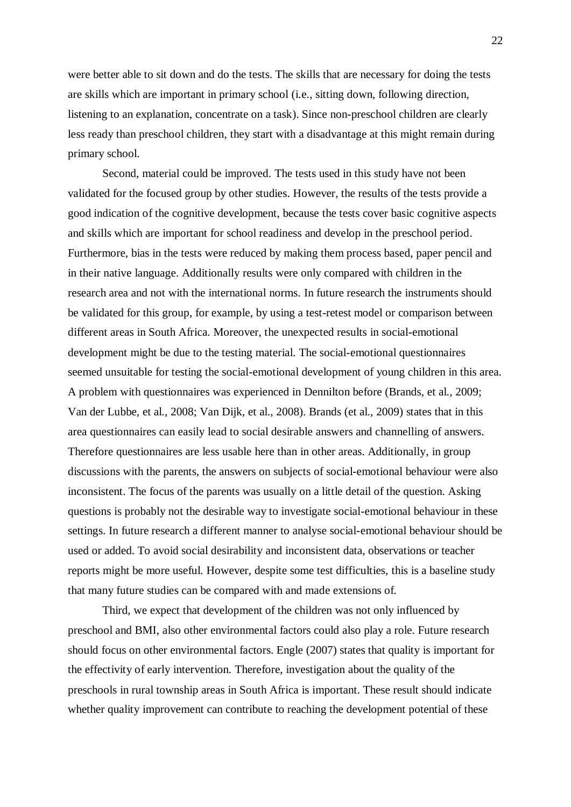were better able to sit down and do the tests. The skills that are necessary for doing the tests are skills which are important in primary school (i.e., sitting down, following direction, listening to an explanation, concentrate on a task). Since non-preschool children are clearly less ready than preschool children, they start with a disadvantage at this might remain during primary school.

Second, material could be improved. The tests used in this study have not been validated for the focused group by other studies. However, the results of the tests provide a good indication of the cognitive development, because the tests cover basic cognitive aspects and skills which are important for school readiness and develop in the preschool period. Furthermore, bias in the tests were reduced by making them process based, paper pencil and in their native language. Additionally results were only compared with children in the research area and not with the international norms. In future research the instruments should be validated for this group, for example, by using a test-retest model or comparison between different areas in South Africa. Moreover, the unexpected results in social-emotional development might be due to the testing material. The social-emotional questionnaires seemed unsuitable for testing the social-emotional development of young children in this area. A problem with questionnaires was experienced in Dennilton before (Brands, et al., 2009; Van der Lubbe, et al., 2008; Van Dijk, et al., 2008). Brands (et al., 2009) states that in this area questionnaires can easily lead to social desirable answers and channelling of answers. Therefore questionnaires are less usable here than in other areas. Additionally, in group discussions with the parents, the answers on subjects of social-emotional behaviour were also inconsistent. The focus of the parents was usually on a little detail of the question. Asking questions is probably not the desirable way to investigate social-emotional behaviour in these settings. In future research a different manner to analyse social-emotional behaviour should be used or added. To avoid social desirability and inconsistent data, observations or teacher reports might be more useful. However, despite some test difficulties, this is a baseline study that many future studies can be compared with and made extensions of.

Third, we expect that development of the children was not only influenced by preschool and BMI, also other environmental factors could also play a role. Future research should focus on other environmental factors. Engle (2007) states that quality is important for the effectivity of early intervention. Therefore, investigation about the quality of the preschools in rural township areas in South Africa is important. These result should indicate whether quality improvement can contribute to reaching the development potential of these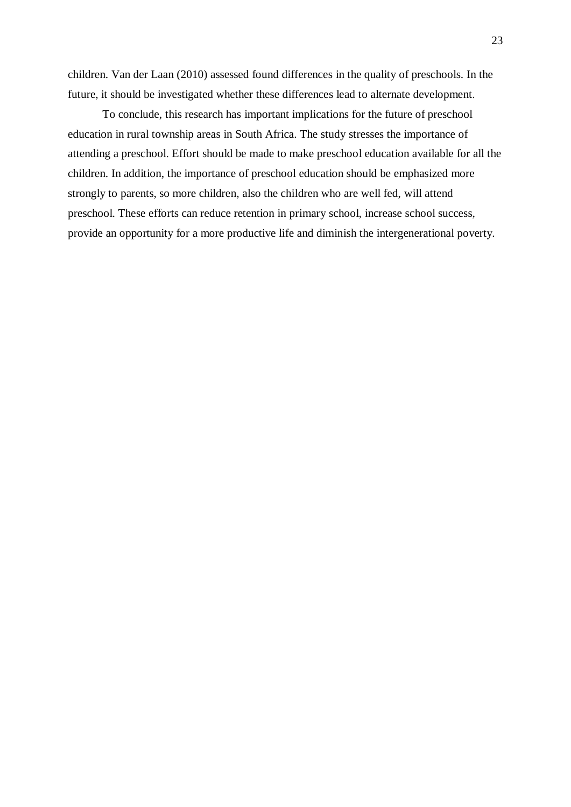children. Van der Laan (2010) assessed found differences in the quality of preschools. In the future, it should be investigated whether these differences lead to alternate development.

To conclude, this research has important implications for the future of preschool education in rural township areas in South Africa. The study stresses the importance of attending a preschool. Effort should be made to make preschool education available for all the children. In addition, the importance of preschool education should be emphasized more strongly to parents, so more children, also the children who are well fed, will attend preschool. These efforts can reduce retention in primary school, increase school success, provide an opportunity for a more productive life and diminish the intergenerational poverty.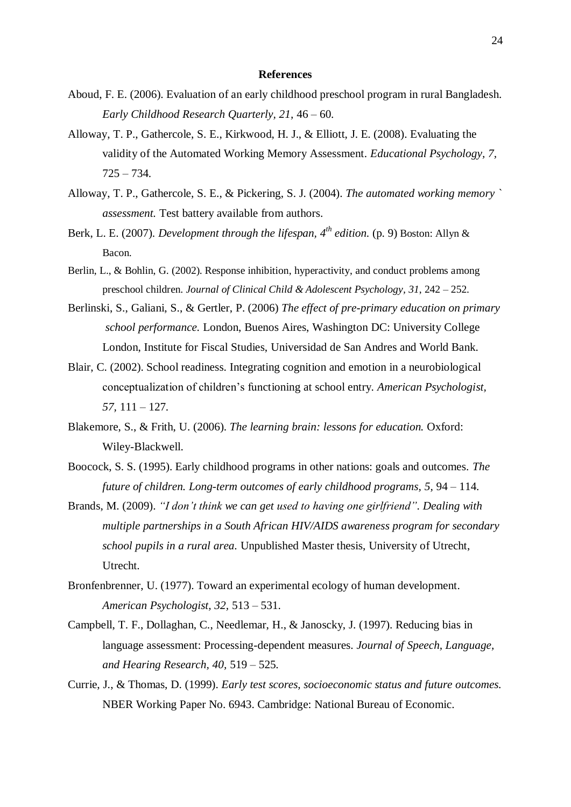#### **References**

- Aboud, F. E. (2006). Evaluation of an early childhood preschool program in rural Bangladesh. *Early Childhood Research Quarterly, 21,* 46 – 60.
- Alloway, T. P., Gathercole, S. E., Kirkwood, H. J., & Elliott, J. E. (2008). Evaluating the validity of the Automated Working Memory Assessment. *Educational Psychology, 7,*  $725 - 734.$
- Alloway, T. P., Gathercole, S. E., & Pickering, S. J. (2004). *The automated working memory ` assessment.* Test battery available from authors.
- Berk, L. E. (2007). *Development through the lifespan, 4th edition.* (p. 9) Boston: Allyn & Bacon.
- Berlin, L., & Bohlin, G. (2002). Response inhibition, hyperactivity, and conduct problems among preschool children. *Journal of Clinical Child & Adolescent Psychology, 31*, 242 – 252.
- Berlinski, S., Galiani, S., & Gertler, P. (2006) *The effect of pre-primary education on primary school performance.* London, Buenos Aires, Washington DC: University College London, Institute for Fiscal Studies, Universidad de San Andres and World Bank.
- Blair, C. (2002). School readiness. Integrating cognition and emotion in a neurobiological conceptualization of children's functioning at school entry. *American Psychologist, 57,* 111 – 127.
- Blakemore, S., & Frith, U. (2006). *The learning brain: lessons for education.* Oxford: Wiley-Blackwell.
- Boocock, S. S. (1995). Early childhood programs in other nations: goals and outcomes. *The future of children. Long-term outcomes of early childhood programs, 5,* 94 – 114.
- Brands, M. (2009). *"I don't think we can get used to having one girlfriend". Dealing with multiple partnerships in a South African HIV/AIDS awareness program for secondary school pupils in a rural area.* Unpublished Master thesis, University of Utrecht, Utrecht.
- Bronfenbrenner, U. (1977). Toward an experimental ecology of human development. *American Psychologist, 32,* 513 – 531.
- Campbell, T. F., Dollaghan, C., Needlemar, H., & Janoscky, J. (1997). Reducing bias in language assessment: Processing-dependent measures. *Journal of Speech, Language, and Hearing Research, 40,* 519 – 525.
- Currie, J., & Thomas, D. (1999). *Early test scores, socioeconomic status and future outcomes.* NBER Working Paper No. 6943. Cambridge: National Bureau of Economic.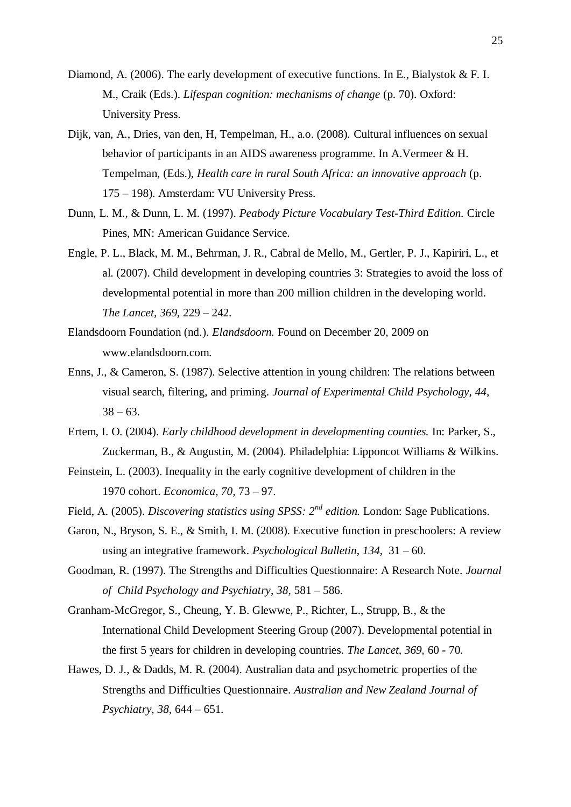- Diamond, A. (2006). The early development of executive functions. In E., Bialystok & F. I. M., Craik (Eds.). *Lifespan cognition: mechanisms of change* (p. 70). Oxford: University Press.
- Dijk, van, A., Dries, van den, H, Tempelman, H., a.o. (2008). Cultural influences on sexual behavior of participants in an AIDS awareness programme. In A.Vermeer & H. Tempelman, (Eds.), *Health care in rural South Africa: an innovative approach* (p. 175 – 198). Amsterdam: VU University Press.
- Dunn, L. M., & Dunn, L. M. (1997). *Peabody Picture Vocabulary Test-Third Edition.* Circle Pines, MN: American Guidance Service.
- Engle, P. L., Black, M. M., Behrman, J. R., Cabral de Mello, M., Gertler, P. J., Kapiriri, L., et al. (2007). Child development in developing countries 3: Strategies to avoid the loss of developmental potential in more than 200 million children in the developing world. *The Lancet, 369,* 229 – 242.
- Elandsdoorn Foundation (nd.). *Elandsdoorn.* Found on December 20, 2009 on www.elandsdoorn.com.
- Enns, J., & Cameron, S. (1987). Selective attention in young children: The relations between visual search, filtering, and priming. *Journal of Experimental Child Psychology, 44,*   $38 - 63$ .
- Ertem, I. O. (2004). *Early childhood development in developmenting counties.* In: Parker, S., Zuckerman, B., & Augustin, M. (2004). Philadelphia: Lipponcot Williams & Wilkins.
- Feinstein, L. (2003). Inequality in the early cognitive development of children in the 1970 cohort. *Economica, 70,* 73 – 97.
- Field, A. (2005). *Discovering statistics using SPSS: 2nd edition.* London: Sage Publications.
- Garon, N., Bryson, S. E., & Smith, I. M. (2008). Executive function in preschoolers: A review using an integrative framework. *Psychological Bulletin, 134*, 31 – 60.
- Goodman, R. (1997). The Strengths and Difficulties Questionnaire: A Research Note. *Journal of Child Psychology and Psychiatry*, *38,* 581 – 586.
- Granham-McGregor, S., Cheung, Y. B. Glewwe, P., Richter, L., Strupp, B., & the International Child Development Steering Group (2007). Developmental potential in the first 5 years for children in developing countries. *The Lancet, 369,* 60 - 70.
- Hawes, D. J., & Dadds, M. R. (2004). Australian data and psychometric properties of the Strengths and Difficulties Questionnaire. *Australian and New Zealand Journal of Psychiatry*, *38*, 644 – 651.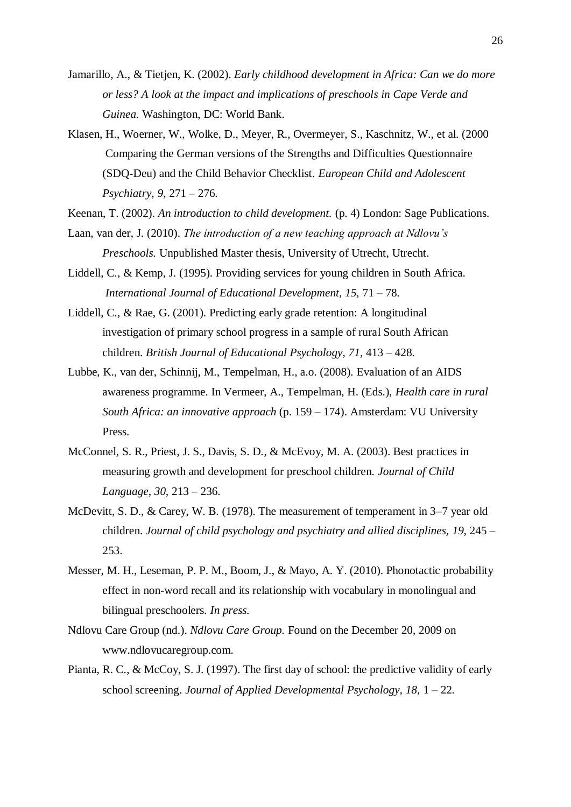- Jamarillo, A., & Tietjen, K. (2002). *Early childhood development in Africa: Can we do more or less? A look at the impact and implications of preschools in Cape Verde and Guinea.* Washington, DC: World Bank.
- Klasen, H., Woerner, W., Wolke, D., Meyer, R., Overmeyer, S., Kaschnitz, W., et al. (2000 Comparing the German versions of the Strengths and Difficulties Questionnaire (SDQ-Deu) and the Child Behavior Checklist. *European Child and Adolescent Psychiatry, 9*, 271 – 276.
- Keenan, T. (2002). *An introduction to child development.* (p. 4) London: Sage Publications.
- Laan, van der, J. (2010). *The introduction of a new teaching approach at Ndlovu's Preschools.* Unpublished Master thesis, University of Utrecht, Utrecht.
- Liddell, C., & Kemp, J. (1995). Providing services for young children in South Africa. *International Journal of Educational Development, 15,* 71 – 78.
- Liddell, C., & Rae, G. (2001). Predicting early grade retention: A longitudinal investigation of primary school progress in a sample of rural South African children. *British Journal of Educational Psychology, 71,* 413 – 428.
- Lubbe, K., van der, Schinnij, M., Tempelman, H., a.o. (2008). Evaluation of an AIDS awareness programme. In Vermeer, A., Tempelman, H. (Eds.), *Health care in rural South Africa: an innovative approach* (p. 159 – 174). Amsterdam: VU University Press.
- McConnel, S. R., Priest, J. S., Davis, S. D., & McEvoy, M. A. (2003). Best practices in measuring growth and development for preschool children. *Journal of Child Language, 30,* 213 – 236.
- McDevitt, S. D., & Carey, W. B. (1978). The measurement of temperament in 3–7 year old children. *Journal of child psychology and psychiatry and allied disciplines, 19*, 245 – 253.
- Messer, M. H., Leseman, P. P. M., Boom, J., & Mayo, A. Y. (2010). Phonotactic probability effect in non-word recall and its relationship with vocabulary in monolingual and bilingual preschoolers. *In press.*
- Ndlovu Care Group (nd.). *Ndlovu Care Group.* Found on the December 20, 2009 on www.ndlovucaregroup.com.
- Pianta, R. C., & McCoy, S. J. (1997). The first day of school: the predictive validity of early school screening. *Journal of Applied Developmental Psychology, 18,* 1 – 22.